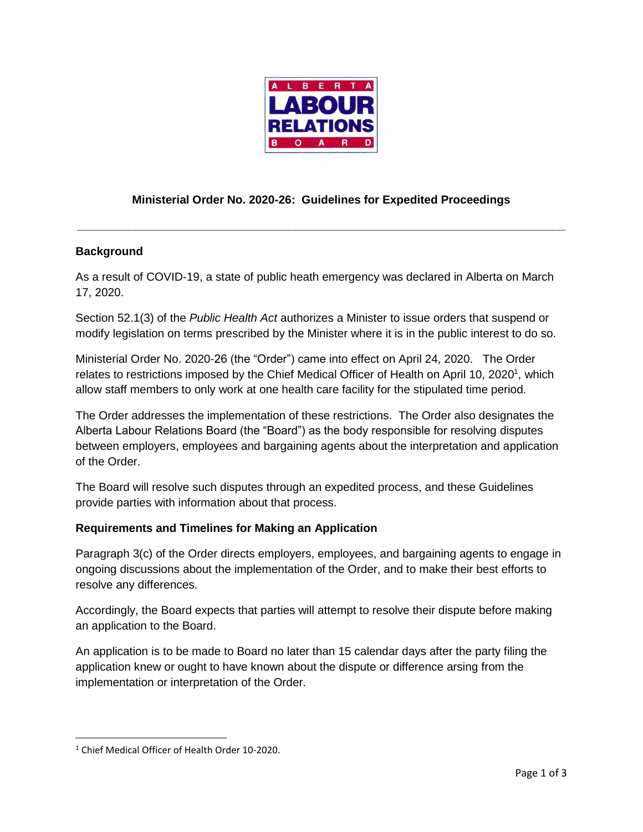

# **Ministerial Order No. 2020-26: Guidelines for Expedited Proceedings**

**\_\_\_\_\_\_\_\_\_\_\_\_\_\_\_\_\_\_\_\_\_\_\_\_\_\_\_\_\_\_\_\_\_\_\_\_\_\_\_\_\_\_\_\_\_\_\_\_\_\_\_\_\_\_\_\_\_\_\_\_\_\_\_\_\_\_\_\_\_\_\_\_\_\_\_\_**

## **Background**

As a result of COVID-19, a state of public heath emergency was declared in Alberta on March 17, 2020.

Section 52.1(3) of the *Public Health Act* authorizes a Minister to issue orders that suspend or modify legislation on terms prescribed by the Minister where it is in the public interest to do so.

Ministerial Order No. 2020-26 (the "Order") came into effect on April 24, 2020. The Order relates to restrictions imposed by the Chief Medical Officer of Health on April 10, 2020<sup>1</sup>, which allow staff members to only work at one health care facility for the stipulated time period.

The Order addresses the implementation of these restrictions. The Order also designates the Alberta Labour Relations Board (the "Board") as the body responsible for resolving disputes between employers, employees and bargaining agents about the interpretation and application of the Order.

The Board will resolve such disputes through an expedited process, and these Guidelines provide parties with information about that process.

## **Requirements and Timelines for Making an Application**

Paragraph 3(c) of the Order directs employers, employees, and bargaining agents to engage in ongoing discussions about the implementation of the Order, and to make their best efforts to resolve any differences.

Accordingly, the Board expects that parties will attempt to resolve their dispute before making an application to the Board.

An application is to be made to Board no later than 15 calendar days after the party filing the application knew or ought to have known about the dispute or difference arsing from the implementation or interpretation of the Order.

 $\overline{\phantom{a}}$ 

<sup>1</sup> Chief Medical Officer of Health Order 10-2020.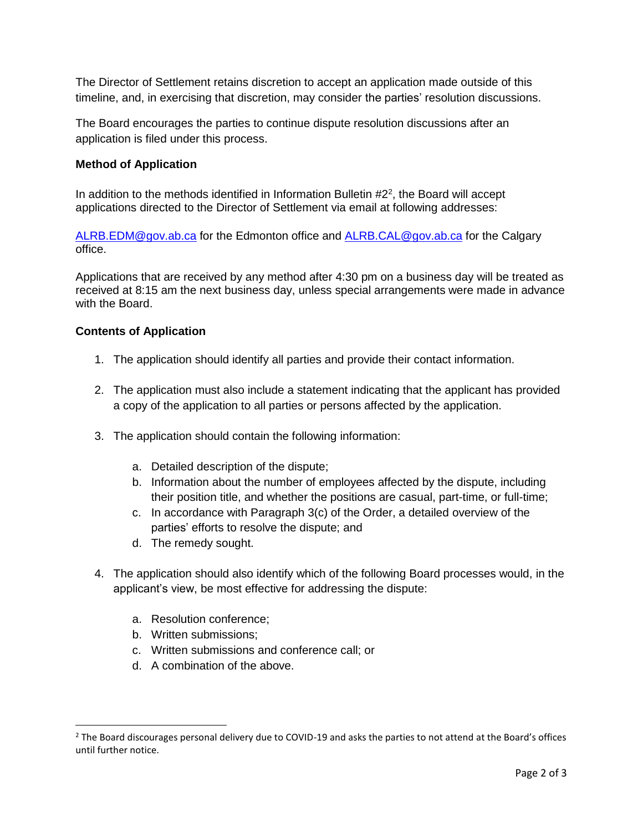The Director of Settlement retains discretion to accept an application made outside of this timeline, and, in exercising that discretion, may consider the parties' resolution discussions.

The Board encourages the parties to continue dispute resolution discussions after an application is filed under this process.

## **Method of Application**

In addition to the methods identified in Information Bulletin  $#2<sup>2</sup>$ , the Board will accept applications directed to the Director of Settlement via email at following addresses:

[ALRB.EDM@gov.ab.ca](mailto:ALRB.EDM@gov.ab.ca) for the Edmonton office and [ALRB.CAL@gov.ab.ca](mailto:ALRB.CAL@gov.ab.ca) for the Calgary office.

Applications that are received by any method after 4:30 pm on a business day will be treated as received at 8:15 am the next business day, unless special arrangements were made in advance with the Board.

#### **Contents of Application**

- 1. The application should identify all parties and provide their contact information.
- 2. The application must also include a statement indicating that the applicant has provided a copy of the application to all parties or persons affected by the application.
- 3. The application should contain the following information:
	- a. Detailed description of the dispute;
	- b. Information about the number of employees affected by the dispute, including their position title, and whether the positions are casual, part-time, or full-time;
	- c. In accordance with Paragraph 3(c) of the Order, a detailed overview of the parties' efforts to resolve the dispute; and
	- d. The remedy sought.
- 4. The application should also identify which of the following Board processes would, in the applicant's view, be most effective for addressing the dispute:
	- a. Resolution conference;
	- b. Written submissions;

 $\overline{\phantom{a}}$ 

- c. Written submissions and conference call; or
- d. A combination of the above.

 $2$  The Board discourages personal delivery due to COVID-19 and asks the parties to not attend at the Board's offices until further notice.